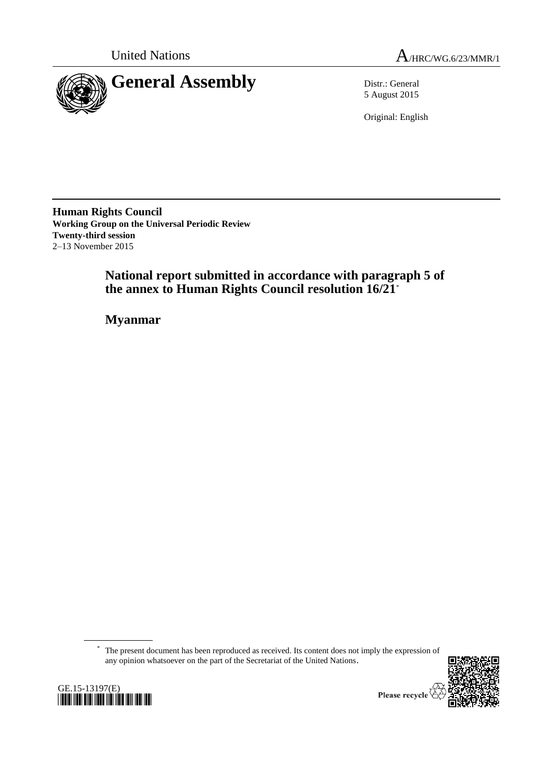

United Nations  $A_{HRC/WG.6/23/MMR/1}$ 

5 August 2015

Original: English

**Human Rights Council Working Group on the Universal Periodic Review Twenty-third session** 2–13 November 2015

> **National report submitted in accordance with paragraph 5 of the annex to Human Rights Council resolution 16/21**\*

**Myanmar**

\* The present document has been reproduced as received. Its content does not imply the expression of any opinion whatsoever on the part of the Secretariat of the United Nations.



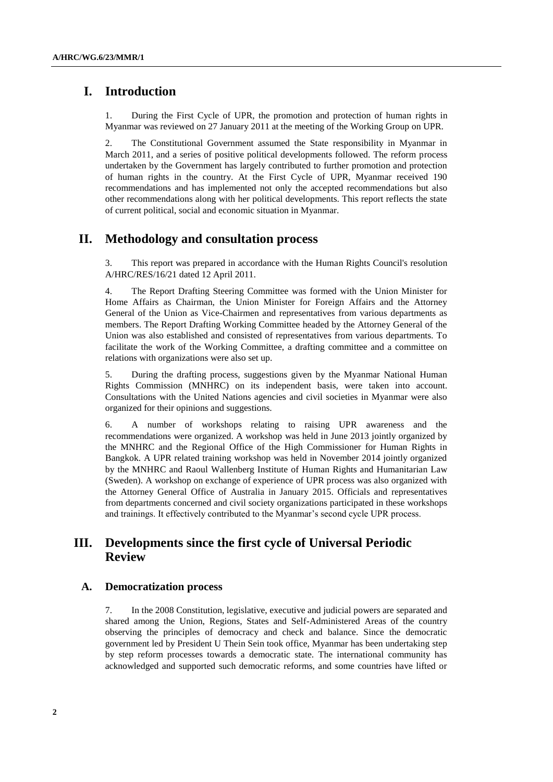# **I. Introduction**

1. During the First Cycle of UPR, the promotion and protection of human rights in Myanmar was reviewed on 27 January 2011 at the meeting of the Working Group on UPR.

2. The Constitutional Government assumed the State responsibility in Myanmar in March 2011, and a series of positive political developments followed. The reform process undertaken by the Government has largely contributed to further promotion and protection of human rights in the country. At the First Cycle of UPR, Myanmar received 190 recommendations and has implemented not only the accepted recommendations but also other recommendations along with her political developments. This report reflects the state of current political, social and economic situation in Myanmar.

# **II. Methodology and consultation process**

3. This report was prepared in accordance with the Human Rights Council's resolution A/HRC/RES/16/21 dated 12 April 2011.

4. The Report Drafting Steering Committee was formed with the Union Minister for Home Affairs as Chairman, the Union Minister for Foreign Affairs and the Attorney General of the Union as Vice-Chairmen and representatives from various departments as members. The Report Drafting Working Committee headed by the Attorney General of the Union was also established and consisted of representatives from various departments. To facilitate the work of the Working Committee, a drafting committee and a committee on relations with organizations were also set up.

5. During the drafting process, suggestions given by the Myanmar National Human Rights Commission (MNHRC) on its independent basis, were taken into account. Consultations with the United Nations agencies and civil societies in Myanmar were also organized for their opinions and suggestions.

6. A number of workshops relating to raising UPR awareness and the recommendations were organized. A workshop was held in June 2013 jointly organized by the MNHRC and the Regional Office of the High Commissioner for Human Rights in Bangkok. A UPR related training workshop was held in November 2014 jointly organized by the MNHRC and Raoul Wallenberg Institute of Human Rights and Humanitarian Law (Sweden). A workshop on exchange of experience of UPR process was also organized with the Attorney General Office of Australia in January 2015. Officials and representatives from departments concerned and civil society organizations participated in these workshops and trainings. It effectively contributed to the Myanmar's second cycle UPR process.

# **III. Developments since the first cycle of Universal Periodic Review**

#### **A. Democratization process**

7. In the 2008 Constitution, legislative, executive and judicial powers are separated and shared among the Union, Regions, States and Self-Administered Areas of the country observing the principles of democracy and check and balance. Since the democratic government led by President U Thein Sein took office, Myanmar has been undertaking step by step reform processes towards a democratic state. The international community has acknowledged and supported such democratic reforms, and some countries have lifted or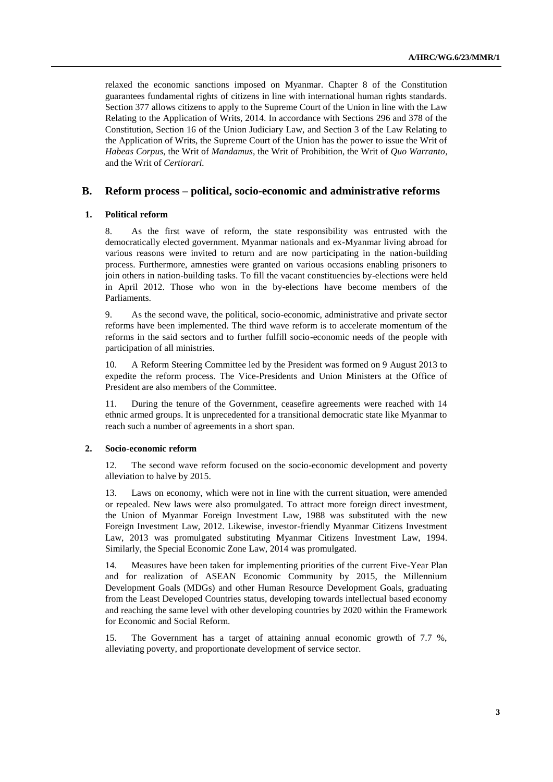relaxed the economic sanctions imposed on Myanmar. Chapter 8 of the Constitution guarantees fundamental rights of citizens in line with international human rights standards. Section 377 allows citizens to apply to the Supreme Court of the Union in line with the Law Relating to the Application of Writs, 2014. In accordance with Sections 296 and 378 of the Constitution, Section 16 of the Union Judiciary Law, and Section 3 of the Law Relating to the Application of Writs, the Supreme Court of the Union has the power to issue the Writ of *Habeas Corpus*, the Writ of *Mandamus*, the Writ of Prohibition, the Writ of *Quo Warranto*, and the Writ of *Certiorari.*

### **B. Reform process – political, socio-economic and administrative reforms**

#### **1. Political reform**

8. As the first wave of reform, the state responsibility was entrusted with the democratically elected government. Myanmar nationals and ex-Myanmar living abroad for various reasons were invited to return and are now participating in the nation-building process. Furthermore, amnesties were granted on various occasions enabling prisoners to join others in nation-building tasks. To fill the vacant constituencies by-elections were held in April 2012. Those who won in the by-elections have become members of the Parliaments.

9. As the second wave, the political, socio-economic, administrative and private sector reforms have been implemented. The third wave reform is to accelerate momentum of the reforms in the said sectors and to further fulfill socio-economic needs of the people with participation of all ministries.

10. A Reform Steering Committee led by the President was formed on 9 August 2013 to expedite the reform process. The Vice-Presidents and Union Ministers at the Office of President are also members of the Committee.

11. During the tenure of the Government, ceasefire agreements were reached with 14 ethnic armed groups. It is unprecedented for a transitional democratic state like Myanmar to reach such a number of agreements in a short span.

#### **2. Socio-economic reform**

12. The second wave reform focused on the socio-economic development and poverty alleviation to halve by 2015.

13. Laws on economy, which were not in line with the current situation, were amended or repealed. New laws were also promulgated. To attract more foreign direct investment, the Union of Myanmar Foreign Investment Law, 1988 was substituted with the new Foreign Investment Law, 2012. Likewise, investor-friendly Myanmar Citizens Investment Law, 2013 was promulgated substituting Myanmar Citizens Investment Law, 1994. Similarly, the Special Economic Zone Law, 2014 was promulgated.

14. Measures have been taken for implementing priorities of the current Five-Year Plan and for realization of ASEAN Economic Community by 2015, the Millennium Development Goals (MDGs) and other Human Resource Development Goals, graduating from the Least Developed Countries status, developing towards intellectual based economy and reaching the same level with other developing countries by 2020 within the Framework for Economic and Social Reform.

15. The Government has a target of attaining annual economic growth of 7.7 %, alleviating poverty, and proportionate development of service sector.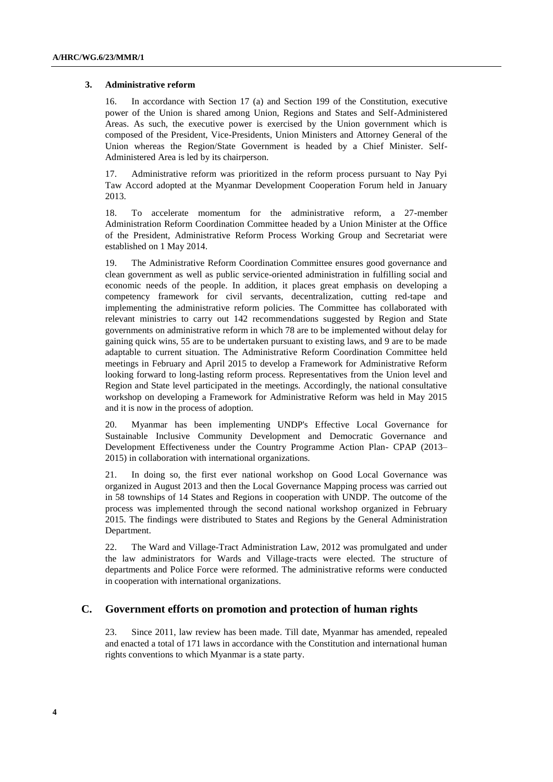#### **3. Administrative reform**

16. In accordance with Section 17 (a) and Section 199 of the Constitution, executive power of the Union is shared among Union, Regions and States and Self-Administered Areas. As such, the executive power is exercised by the Union government which is composed of the President, Vice-Presidents, Union Ministers and Attorney General of the Union whereas the Region/State Government is headed by a Chief Minister. Self-Administered Area is led by its chairperson.

17. Administrative reform was prioritized in the reform process pursuant to Nay Pyi Taw Accord adopted at the Myanmar Development Cooperation Forum held in January 2013.

18. To accelerate momentum for the administrative reform, a 27-member Administration Reform Coordination Committee headed by a Union Minister at the Office of the President, Administrative Reform Process Working Group and Secretariat were established on 1 May 2014.

19. The Administrative Reform Coordination Committee ensures good governance and clean government as well as public service-oriented administration in fulfilling social and economic needs of the people. In addition, it places great emphasis on developing a competency framework for civil servants, decentralization, cutting red-tape and implementing the administrative reform policies. The Committee has collaborated with relevant ministries to carry out 142 recommendations suggested by Region and State governments on administrative reform in which 78 are to be implemented without delay for gaining quick wins, 55 are to be undertaken pursuant to existing laws, and 9 are to be made adaptable to current situation. The Administrative Reform Coordination Committee held meetings in February and April 2015 to develop a Framework for Administrative Reform looking forward to long-lasting reform process. Representatives from the Union level and Region and State level participated in the meetings. Accordingly, the national consultative workshop on developing a Framework for Administrative Reform was held in May 2015 and it is now in the process of adoption.

20. Myanmar has been implementing UNDP's Effective Local Governance for Sustainable Inclusive Community Development and Democratic Governance and Development Effectiveness under the Country Programme Action Plan- CPAP (2013– 2015) in collaboration with international organizations.

21. In doing so, the first ever national workshop on Good Local Governance was organized in August 2013 and then the Local Governance Mapping process was carried out in 58 townships of 14 States and Regions in cooperation with UNDP. The outcome of the process was implemented through the second national workshop organized in February 2015. The findings were distributed to States and Regions by the General Administration Department.

22. The Ward and Village-Tract Administration Law, 2012 was promulgated and under the law administrators for Wards and Village-tracts were elected. The structure of departments and Police Force were reformed. The administrative reforms were conducted in cooperation with international organizations.

### **C. Government efforts on promotion and protection of human rights**

23. Since 2011, law review has been made. Till date, Myanmar has amended, repealed and enacted a total of 171 laws in accordance with the Constitution and international human rights conventions to which Myanmar is a state party.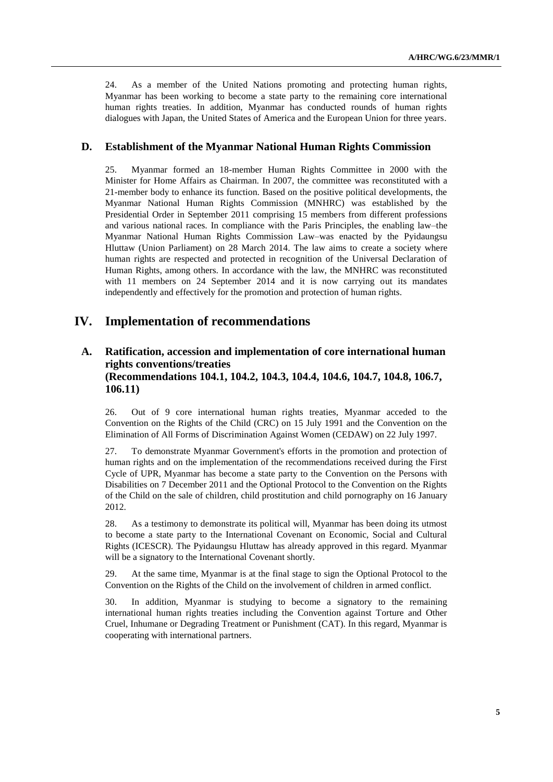24. As a member of the United Nations promoting and protecting human rights, Myanmar has been working to become a state party to the remaining core international human rights treaties. In addition, Myanmar has conducted rounds of human rights dialogues with Japan, the United States of America and the European Union for three years.

### **D. Establishment of the Myanmar National Human Rights Commission**

25. Myanmar formed an 18-member Human Rights Committee in 2000 with the Minister for Home Affairs as Chairman. In 2007, the committee was reconstituted with a 21-member body to enhance its function. Based on the positive political developments, the Myanmar National Human Rights Commission (MNHRC) was established by the Presidential Order in September 2011 comprising 15 members from different professions and various national races. In compliance with the Paris Principles, the enabling law–the Myanmar National Human Rights Commission Law–was enacted by the Pyidaungsu Hluttaw (Union Parliament) on 28 March 2014. The law aims to create a society where human rights are respected and protected in recognition of the Universal Declaration of Human Rights, among others. In accordance with the law, the MNHRC was reconstituted with 11 members on 24 September 2014 and it is now carrying out its mandates independently and effectively for the promotion and protection of human rights.

### **IV. Implementation of recommendations**

# **A. Ratification, accession and implementation of core international human rights conventions/treaties (Recommendations 104.1, 104.2, 104.3, 104.4, 104.6, 104.7, 104.8, 106.7, 106.11)**

26. Out of 9 core international human rights treaties, Myanmar acceded to the Convention on the Rights of the Child (CRC) on 15 July 1991 and the Convention on the Elimination of All Forms of Discrimination Against Women (CEDAW) on 22 July 1997.

27. To demonstrate Myanmar Government's efforts in the promotion and protection of human rights and on the implementation of the recommendations received during the First Cycle of UPR, Myanmar has become a state party to the Convention on the Persons with Disabilities on 7 December 2011 and the Optional Protocol to the Convention on the Rights of the Child on the sale of children, child prostitution and child pornography on 16 January 2012.

28. As a testimony to demonstrate its political will, Myanmar has been doing its utmost to become a state party to the International Covenant on Economic, Social and Cultural Rights (ICESCR). The Pyidaungsu Hluttaw has already approved in this regard. Myanmar will be a signatory to the International Covenant shortly.

29. At the same time, Myanmar is at the final stage to sign the Optional Protocol to the Convention on the Rights of the Child on the involvement of children in armed conflict.

30. In addition, Myanmar is studying to become a signatory to the remaining international human rights treaties including the Convention against Torture and Other Cruel, Inhumane or Degrading Treatment or Punishment (CAT). In this regard, Myanmar is cooperating with international partners.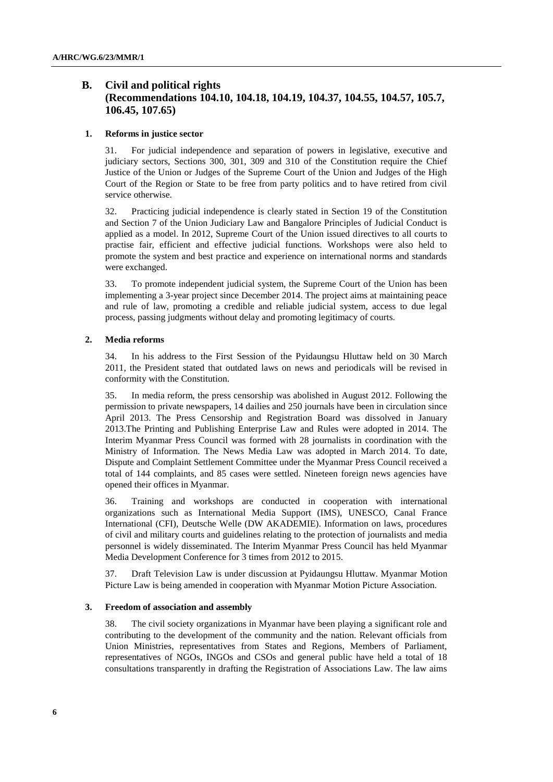# **B. Civil and political rights (Recommendations 104.10, 104.18, 104.19, 104.37, 104.55, 104.57, 105.7, 106.45, 107.65)**

#### **1. Reforms in justice sector**

31. For judicial independence and separation of powers in legislative, executive and judiciary sectors, Sections 300, 301, 309 and 310 of the Constitution require the Chief Justice of the Union or Judges of the Supreme Court of the Union and Judges of the High Court of the Region or State to be free from party politics and to have retired from civil service otherwise.

32. Practicing judicial independence is clearly stated in Section 19 of the Constitution and Section 7 of the Union Judiciary Law and Bangalore Principles of Judicial Conduct is applied as a model. In 2012, Supreme Court of the Union issued directives to all courts to practise fair, efficient and effective judicial functions. Workshops were also held to promote the system and best practice and experience on international norms and standards were exchanged.

33. To promote independent judicial system, the Supreme Court of the Union has been implementing a 3-year project since December 2014. The project aims at maintaining peace and rule of law, promoting a credible and reliable judicial system, access to due legal process, passing judgments without delay and promoting legitimacy of courts.

#### **2. Media reforms**

34. In his address to the First Session of the Pyidaungsu Hluttaw held on 30 March 2011, the President stated that outdated laws on news and periodicals will be revised in conformity with the Constitution.

35. In media reform, the press censorship was abolished in August 2012. Following the permission to private newspapers, 14 dailies and 250 journals have been in circulation since April 2013. The Press Censorship and Registration Board was dissolved in January 2013.The Printing and Publishing Enterprise Law and Rules were adopted in 2014. The Interim Myanmar Press Council was formed with 28 journalists in coordination with the Ministry of Information. The News Media Law was adopted in March 2014. To date, Dispute and Complaint Settlement Committee under the Myanmar Press Council received a total of 144 complaints, and 85 cases were settled. Nineteen foreign news agencies have opened their offices in Myanmar.

36. Training and workshops are conducted in cooperation with international organizations such as International Media Support (IMS), UNESCO, Canal France International (CFI), Deutsche Welle (DW AKADEMIE). Information on laws, procedures of civil and military courts and guidelines relating to the protection of journalists and media personnel is widely disseminated. The Interim Myanmar Press Council has held Myanmar Media Development Conference for 3 times from 2012 to 2015.

37. Draft Television Law is under discussion at Pyidaungsu Hluttaw. Myanmar Motion Picture Law is being amended in cooperation with Myanmar Motion Picture Association.

#### **3. Freedom of association and assembly**

38. The civil society organizations in Myanmar have been playing a significant role and contributing to the development of the community and the nation. Relevant officials from Union Ministries, representatives from States and Regions, Members of Parliament, representatives of NGOs, INGOs and CSOs and general public have held a total of 18 consultations transparently in drafting the Registration of Associations Law. The law aims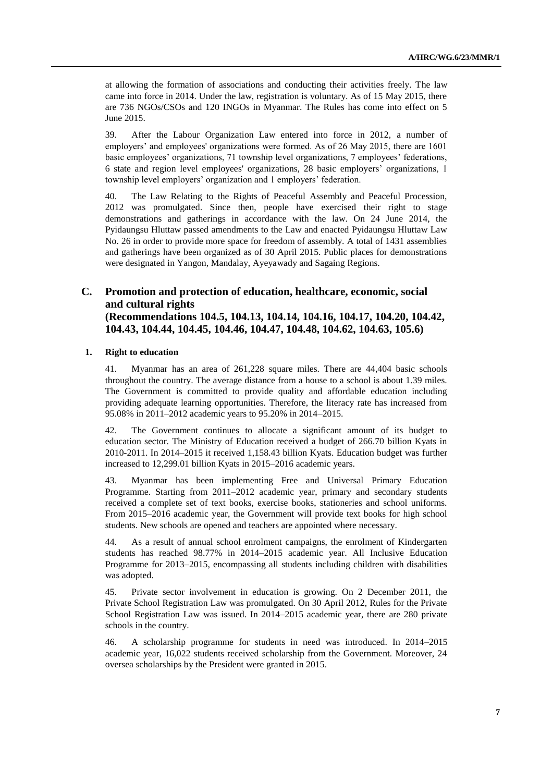at allowing the formation of associations and conducting their activities freely. The law came into force in 2014. Under the law, registration is voluntary. As of 15 May 2015, there are 736 NGOs/CSOs and 120 INGOs in Myanmar. The Rules has come into effect on 5 June 2015.

39. After the Labour Organization Law entered into force in 2012, a number of employers' and employees' organizations were formed. As of 26 May 2015, there are 1601 basic employees' organizations, 71 township level organizations, 7 employees' federations, 6 state and region level employees' organizations, 28 basic employers' organizations, 1 township level employers' organization and 1 employers' federation.

40. The Law Relating to the Rights of Peaceful Assembly and Peaceful Procession, 2012 was promulgated. Since then, people have exercised their right to stage demonstrations and gatherings in accordance with the law. On 24 June 2014, the Pyidaungsu Hluttaw passed amendments to the Law and enacted Pyidaungsu Hluttaw Law No. 26 in order to provide more space for freedom of assembly. A total of 1431 assemblies and gatherings have been organized as of 30 April 2015. Public places for demonstrations were designated in Yangon, Mandalay, Ayeyawady and Sagaing Regions.

### **C. Promotion and protection of education, healthcare, economic, social and cultural rights (Recommendations 104.5, 104.13, 104.14, 104.16, 104.17, 104.20, 104.42, 104.43, 104.44, 104.45, 104.46, 104.47, 104.48, 104.62, 104.63, 105.6)**

#### **1. Right to education**

41. Myanmar has an area of 261,228 square miles. There are 44,404 basic schools throughout the country. The average distance from a house to a school is about 1.39 miles. The Government is committed to provide quality and affordable education including providing adequate learning opportunities. Therefore, the literacy rate has increased from 95.08% in 2011–2012 academic years to 95.20% in 2014–2015.

42. The Government continues to allocate a significant amount of its budget to education sector. The Ministry of Education received a budget of 266.70 billion Kyats in 2010-2011. In 2014–2015 it received 1,158.43 billion Kyats. Education budget was further increased to 12,299.01 billion Kyats in 2015–2016 academic years.

43. Myanmar has been implementing Free and Universal Primary Education Programme. Starting from 2011–2012 academic year, primary and secondary students received a complete set of text books, exercise books, stationeries and school uniforms. From 2015–2016 academic year, the Government will provide text books for high school students. New schools are opened and teachers are appointed where necessary.

44. As a result of annual school enrolment campaigns, the enrolment of Kindergarten students has reached 98.77% in 2014–2015 academic year. All Inclusive Education Programme for 2013–2015, encompassing all students including children with disabilities was adopted.

45. Private sector involvement in education is growing. On 2 December 2011, the Private School Registration Law was promulgated. On 30 April 2012, Rules for the Private School Registration Law was issued. In 2014–2015 academic year, there are 280 private schools in the country.

46. A scholarship programme for students in need was introduced. In 2014–2015 academic year, 16,022 students received scholarship from the Government. Moreover, 24 oversea scholarships by the President were granted in 2015.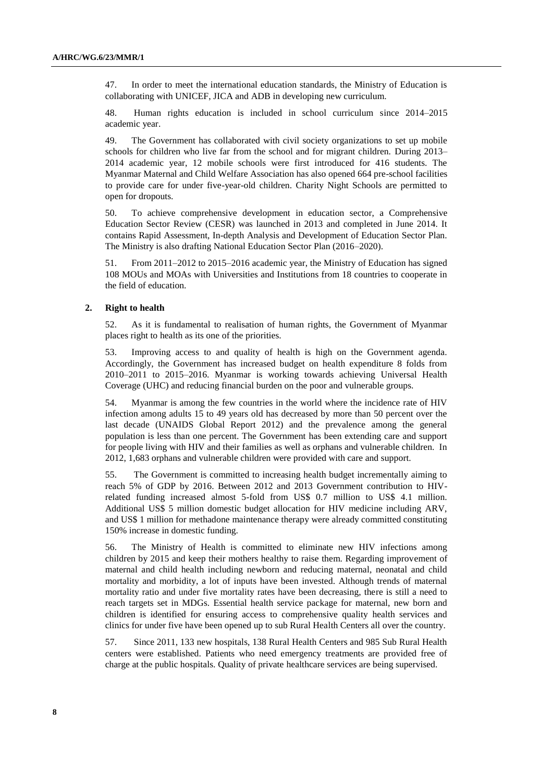47. In order to meet the international education standards, the Ministry of Education is collaborating with UNICEF, JICA and ADB in developing new curriculum.

48. Human rights education is included in school curriculum since 2014–2015 academic year.

49. The Government has collaborated with civil society organizations to set up mobile schools for children who live far from the school and for migrant children. During 2013– 2014 academic year, 12 mobile schools were first introduced for 416 students. The Myanmar Maternal and Child Welfare Association has also opened 664 pre-school facilities to provide care for under five-year-old children. Charity Night Schools are permitted to open for dropouts.

50. To achieve comprehensive development in education sector, a Comprehensive Education Sector Review (CESR) was launched in 2013 and completed in June 2014. It contains Rapid Assessment, In-depth Analysis and Development of Education Sector Plan. The Ministry is also drafting National Education Sector Plan (2016–2020).

51. From 2011–2012 to 2015–2016 academic year, the Ministry of Education has signed 108 MOUs and MOAs with Universities and Institutions from 18 countries to cooperate in the field of education.

#### **2. Right to health**

52. As it is fundamental to realisation of human rights, the Government of Myanmar places right to health as its one of the priorities.

53. Improving access to and quality of health is high on the Government agenda. Accordingly, the Government has increased budget on health expenditure 8 folds from 2010–2011 to 2015–2016. Myanmar is working towards achieving Universal Health Coverage (UHC) and reducing financial burden on the poor and vulnerable groups.

54. Myanmar is among the few countries in the world where the incidence rate of HIV infection among adults 15 to 49 years old has decreased by more than 50 percent over the last decade (UNAIDS Global Report 2012) and the prevalence among the general population is less than one percent. The Government has been extending care and support for people living with HIV and their families as well as orphans and vulnerable children. In 2012, 1,683 orphans and vulnerable children were provided with care and support.

55. The Government is committed to increasing health budget incrementally aiming to reach 5% of GDP by 2016. Between 2012 and 2013 Government contribution to HIVrelated funding increased almost 5-fold from US\$ 0.7 million to US\$ 4.1 million. Additional US\$ 5 million domestic budget allocation for HIV medicine including ARV, and US\$ 1 million for methadone maintenance therapy were already committed constituting 150% increase in domestic funding.

56. The Ministry of Health is committed to eliminate new HIV infections among children by 2015 and keep their mothers healthy to raise them. Regarding improvement of maternal and child health including newborn and reducing maternal, neonatal and child mortality and morbidity, a lot of inputs have been invested. Although trends of maternal mortality ratio and under five mortality rates have been decreasing, there is still a need to reach targets set in MDGs. Essential health service package for maternal, new born and children is identified for ensuring access to comprehensive quality health services and clinics for under five have been opened up to sub Rural Health Centers all over the country.

57. Since 2011, 133 new hospitals, 138 Rural Health Centers and 985 Sub Rural Health centers were established. Patients who need emergency treatments are provided free of charge at the public hospitals. Quality of private healthcare services are being supervised.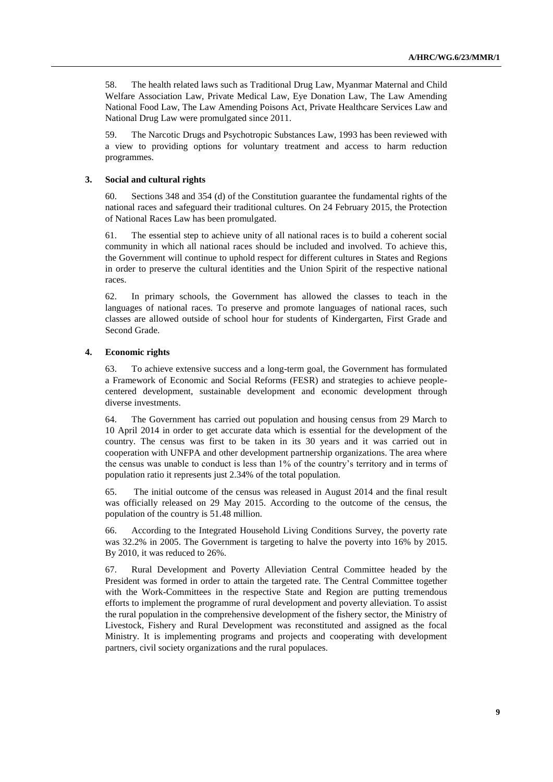58. The health related laws such as Traditional Drug Law, Myanmar Maternal and Child Welfare Association Law, Private Medical Law, Eye Donation Law, The Law Amending National Food Law, The Law Amending Poisons Act, Private Healthcare Services Law and National Drug Law were promulgated since 2011.

59. The Narcotic Drugs and Psychotropic Substances Law, 1993 has been reviewed with a view to providing options for voluntary treatment and access to harm reduction programmes.

#### **3. Social and cultural rights**

60. Sections 348 and 354 (d) of the Constitution guarantee the fundamental rights of the national races and safeguard their traditional cultures. On 24 February 2015, the Protection of National Races Law has been promulgated.

61. The essential step to achieve unity of all national races is to build a coherent social community in which all national races should be included and involved. To achieve this, the Government will continue to uphold respect for different cultures in States and Regions in order to preserve the cultural identities and the Union Spirit of the respective national races.

62. In primary schools, the Government has allowed the classes to teach in the languages of national races. To preserve and promote languages of national races, such classes are allowed outside of school hour for students of Kindergarten, First Grade and Second Grade.

#### **4. Economic rights**

63. To achieve extensive success and a long-term goal, the Government has formulated a Framework of Economic and Social Reforms (FESR) and strategies to achieve peoplecentered development, sustainable development and economic development through diverse investments.

64. The Government has carried out population and housing census from 29 March to 10 April 2014 in order to get accurate data which is essential for the development of the country. The census was first to be taken in its 30 years and it was carried out in cooperation with UNFPA and other development partnership organizations. The area where the census was unable to conduct is less than 1% of the country's territory and in terms of population ratio it represents just 2.34% of the total population.

65. The initial outcome of the census was released in August 2014 and the final result was officially released on 29 May 2015. According to the outcome of the census, the population of the country is 51.48 million.

66. According to the Integrated Household Living Conditions Survey, the poverty rate was 32.2% in 2005. The Government is targeting to halve the poverty into 16% by 2015. By 2010, it was reduced to 26%.

67. Rural Development and Poverty Alleviation Central Committee headed by the President was formed in order to attain the targeted rate. The Central Committee together with the Work-Committees in the respective State and Region are putting tremendous efforts to implement the programme of rural development and poverty alleviation. To assist the rural population in the comprehensive development of the fishery sector, the Ministry of Livestock, Fishery and Rural Development was reconstituted and assigned as the focal Ministry. It is implementing programs and projects and cooperating with development partners, civil society organizations and the rural populaces.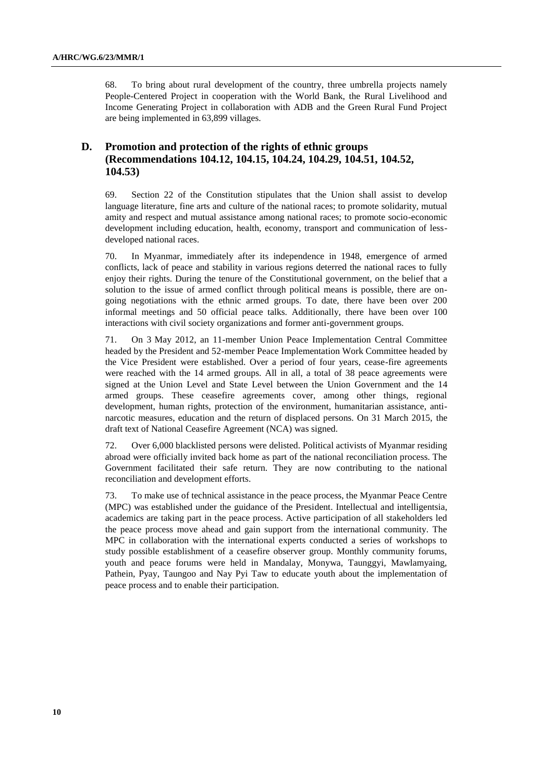68. To bring about rural development of the country, three umbrella projects namely People-Centered Project in cooperation with the World Bank, the Rural Livelihood and Income Generating Project in collaboration with ADB and the Green Rural Fund Project are being implemented in 63,899 villages.

# **D. Promotion and protection of the rights of ethnic groups (Recommendations 104.12, 104.15, 104.24, 104.29, 104.51, 104.52, 104.53)**

69. Section 22 of the Constitution stipulates that the Union shall assist to develop language literature, fine arts and culture of the national races; to promote solidarity, mutual amity and respect and mutual assistance among national races; to promote socio-economic development including education, health, economy, transport and communication of lessdeveloped national races.

70. In Myanmar, immediately after its independence in 1948, emergence of armed conflicts, lack of peace and stability in various regions deterred the national races to fully enjoy their rights. During the tenure of the Constitutional government, on the belief that a solution to the issue of armed conflict through political means is possible, there are ongoing negotiations with the ethnic armed groups. To date, there have been over 200 informal meetings and 50 official peace talks. Additionally, there have been over 100 interactions with civil society organizations and former anti-government groups.

71. On 3 May 2012, an 11-member Union Peace Implementation Central Committee headed by the President and 52-member Peace Implementation Work Committee headed by the Vice President were established. Over a period of four years, cease-fire agreements were reached with the 14 armed groups. All in all, a total of 38 peace agreements were signed at the Union Level and State Level between the Union Government and the 14 armed groups. These ceasefire agreements cover, among other things, regional development, human rights, protection of the environment, humanitarian assistance, antinarcotic measures, education and the return of displaced persons. On 31 March 2015, the draft text of National Ceasefire Agreement (NCA) was signed.

72. Over 6,000 blacklisted persons were delisted. Political activists of Myanmar residing abroad were officially invited back home as part of the national reconciliation process. The Government facilitated their safe return. They are now contributing to the national reconciliation and development efforts.

73. To make use of technical assistance in the peace process, the Myanmar Peace Centre (MPC) was established under the guidance of the President. Intellectual and intelligentsia, academics are taking part in the peace process. Active participation of all stakeholders led the peace process move ahead and gain support from the international community. The MPC in collaboration with the international experts conducted a series of workshops to study possible establishment of a ceasefire observer group. Monthly community forums, youth and peace forums were held in Mandalay, Monywa, Taunggyi, Mawlamyaing, Pathein, Pyay, Taungoo and Nay Pyi Taw to educate youth about the implementation of peace process and to enable their participation.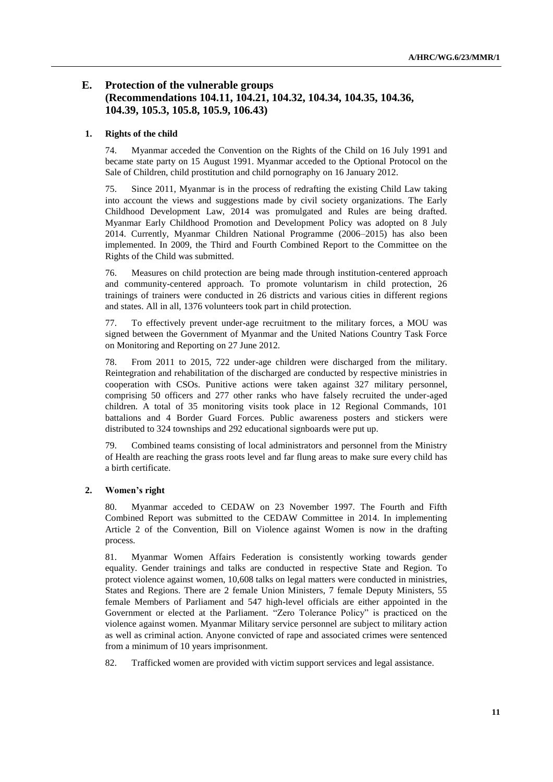# **E. Protection of the vulnerable groups (Recommendations 104.11, 104.21, 104.32, 104.34, 104.35, 104.36, 104.39, 105.3, 105.8, 105.9, 106.43)**

#### **1. Rights of the child**

74. Myanmar acceded the Convention on the Rights of the Child on 16 July 1991 and became state party on 15 August 1991. Myanmar acceded to the Optional Protocol on the Sale of Children, child prostitution and child pornography on 16 January 2012.

75. Since 2011, Myanmar is in the process of redrafting the existing Child Law taking into account the views and suggestions made by civil society organizations. The Early Childhood Development Law, 2014 was promulgated and Rules are being drafted. Myanmar Early Childhood Promotion and Development Policy was adopted on 8 July 2014. Currently, Myanmar Children National Programme (2006–2015) has also been implemented. In 2009, the Third and Fourth Combined Report to the Committee on the Rights of the Child was submitted.

76. Measures on child protection are being made through institution-centered approach and community-centered approach. To promote voluntarism in child protection, 26 trainings of trainers were conducted in 26 districts and various cities in different regions and states. All in all, 1376 volunteers took part in child protection.

77. To effectively prevent under-age recruitment to the military forces, a MOU was signed between the Government of Myanmar and the United Nations Country Task Force on Monitoring and Reporting on 27 June 2012.

78. From 2011 to 2015, 722 under-age children were discharged from the military. Reintegration and rehabilitation of the discharged are conducted by respective ministries in cooperation with CSOs. Punitive actions were taken against 327 military personnel, comprising 50 officers and 277 other ranks who have falsely recruited the under-aged children. A total of 35 monitoring visits took place in 12 Regional Commands, 101 battalions and 4 Border Guard Forces. Public awareness posters and stickers were distributed to 324 townships and 292 educational signboards were put up.

79. Combined teams consisting of local administrators and personnel from the Ministry of Health are reaching the grass roots level and far flung areas to make sure every child has a birth certificate.

#### **2. Women's right**

80. Myanmar acceded to CEDAW on 23 November 1997. The Fourth and Fifth Combined Report was submitted to the CEDAW Committee in 2014. In implementing Article 2 of the Convention, Bill on Violence against Women is now in the drafting process.

81. Myanmar Women Affairs Federation is consistently working towards gender equality. Gender trainings and talks are conducted in respective State and Region. To protect violence against women, 10,608 talks on legal matters were conducted in ministries, States and Regions. There are 2 female Union Ministers, 7 female Deputy Ministers, 55 female Members of Parliament and 547 high-level officials are either appointed in the Government or elected at the Parliament. "Zero Tolerance Policy" is practiced on the violence against women. Myanmar Military service personnel are subject to military action as well as criminal action. Anyone convicted of rape and associated crimes were sentenced from a minimum of 10 years imprisonment.

82. Trafficked women are provided with victim support services and legal assistance.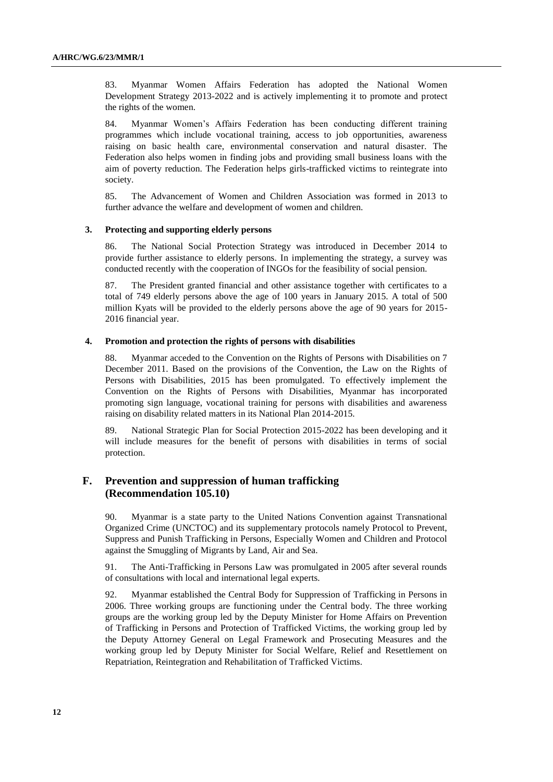83. Myanmar Women Affairs Federation has adopted the National Women Development Strategy 2013-2022 and is actively implementing it to promote and protect the rights of the women.

84. Myanmar Women's Affairs Federation has been conducting different training programmes which include vocational training, access to job opportunities, awareness raising on basic health care, environmental conservation and natural disaster. The Federation also helps women in finding jobs and providing small business loans with the aim of poverty reduction. The Federation helps girls-trafficked victims to reintegrate into society.

85. The Advancement of Women and Children Association was formed in 2013 to further advance the welfare and development of women and children.

#### **3. Protecting and supporting elderly persons**

86. The National Social Protection Strategy was introduced in December 2014 to provide further assistance to elderly persons. In implementing the strategy, a survey was conducted recently with the cooperation of INGOs for the feasibility of social pension.

87. The President granted financial and other assistance together with certificates to a total of 749 elderly persons above the age of 100 years in January 2015. A total of 500 million Kyats will be provided to the elderly persons above the age of 90 years for 2015- 2016 financial year.

#### **4. Promotion and protection the rights of persons with disabilities**

88. Myanmar acceded to the Convention on the Rights of Persons with Disabilities on 7 December 2011. Based on the provisions of the Convention, the Law on the Rights of Persons with Disabilities, 2015 has been promulgated. To effectively implement the Convention on the Rights of Persons with Disabilities, Myanmar has incorporated promoting sign language, vocational training for persons with disabilities and awareness raising on disability related matters in its National Plan 2014-2015.

89. National Strategic Plan for Social Protection 2015-2022 has been developing and it will include measures for the benefit of persons with disabilities in terms of social protection.

### **F. Prevention and suppression of human trafficking (Recommendation 105.10)**

90. Myanmar is a state party to the United Nations Convention against Transnational Organized Crime (UNCTOC) and its supplementary protocols namely Protocol to Prevent, Suppress and Punish Trafficking in Persons, Especially Women and Children and Protocol against the Smuggling of Migrants by Land, Air and Sea.

91. The Anti-Trafficking in Persons Law was promulgated in 2005 after several rounds of consultations with local and international legal experts.

92. Myanmar established the Central Body for Suppression of Trafficking in Persons in 2006. Three working groups are functioning under the Central body. The three working groups are the working group led by the Deputy Minister for Home Affairs on Prevention of Trafficking in Persons and Protection of Trafficked Victims, the working group led by the Deputy Attorney General on Legal Framework and Prosecuting Measures and the working group led by Deputy Minister for Social Welfare, Relief and Resettlement on Repatriation, Reintegration and Rehabilitation of Trafficked Victims.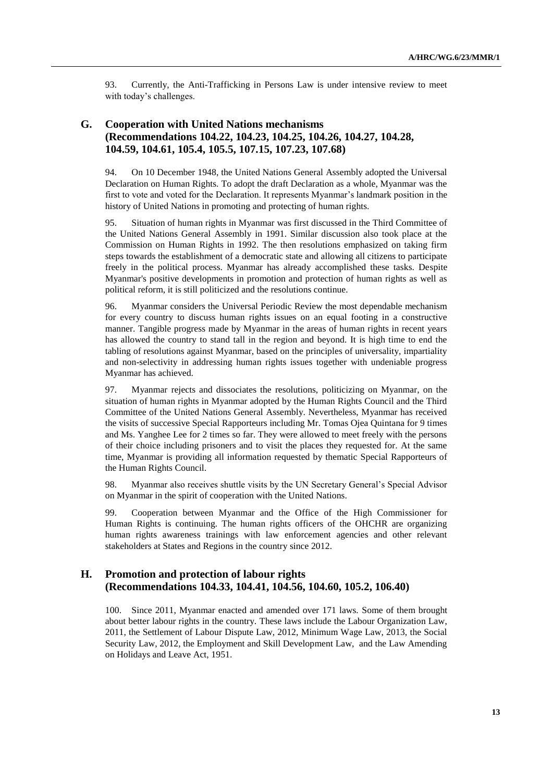93. Currently, the Anti-Trafficking in Persons Law is under intensive review to meet with today's challenges.

# **G. Cooperation with United Nations mechanisms (Recommendations 104.22, 104.23, 104.25, 104.26, 104.27, 104.28, 104.59, 104.61, 105.4, 105.5, 107.15, 107.23, 107.68)**

94. On 10 December 1948, the United Nations General Assembly adopted the Universal Declaration on Human Rights. To adopt the draft Declaration as a whole, Myanmar was the first to vote and voted for the Declaration. It represents Myanmar's landmark position in the history of United Nations in promoting and protecting of human rights.

95. Situation of human rights in Myanmar was first discussed in the Third Committee of the United Nations General Assembly in 1991. Similar discussion also took place at the Commission on Human Rights in 1992. The then resolutions emphasized on taking firm steps towards the establishment of a democratic state and allowing all citizens to participate freely in the political process. Myanmar has already accomplished these tasks. Despite Myanmar's positive developments in promotion and protection of human rights as well as political reform, it is still politicized and the resolutions continue.

96. Myanmar considers the Universal Periodic Review the most dependable mechanism for every country to discuss human rights issues on an equal footing in a constructive manner. Tangible progress made by Myanmar in the areas of human rights in recent years has allowed the country to stand tall in the region and beyond. It is high time to end the tabling of resolutions against Myanmar, based on the principles of universality, impartiality and non-selectivity in addressing human rights issues together with undeniable progress Myanmar has achieved.

97. Myanmar rejects and dissociates the resolutions, politicizing on Myanmar, on the situation of human rights in Myanmar adopted by the Human Rights Council and the Third Committee of the United Nations General Assembly. Nevertheless, Myanmar has received the visits of successive Special Rapporteurs including Mr. Tomas Ojea Quintana for 9 times and Ms. Yanghee Lee for 2 times so far. They were allowed to meet freely with the persons of their choice including prisoners and to visit the places they requested for. At the same time, Myanmar is providing all information requested by thematic Special Rapporteurs of the Human Rights Council.

98. Myanmar also receives shuttle visits by the UN Secretary General's Special Advisor on Myanmar in the spirit of cooperation with the United Nations.

99. Cooperation between Myanmar and the Office of the High Commissioner for Human Rights is continuing. The human rights officers of the OHCHR are organizing human rights awareness trainings with law enforcement agencies and other relevant stakeholders at States and Regions in the country since 2012.

# **H. Promotion and protection of labour rights (Recommendations 104.33, 104.41, 104.56, 104.60, 105.2, 106.40)**

100. Since 2011, Myanmar enacted and amended over 171 laws. Some of them brought about better labour rights in the country. These laws include the Labour Organization Law, 2011, the Settlement of Labour Dispute Law, 2012, Minimum Wage Law, 2013, the Social Security Law, 2012, the Employment and Skill Development Law, and the Law Amending on Holidays and Leave Act, 1951.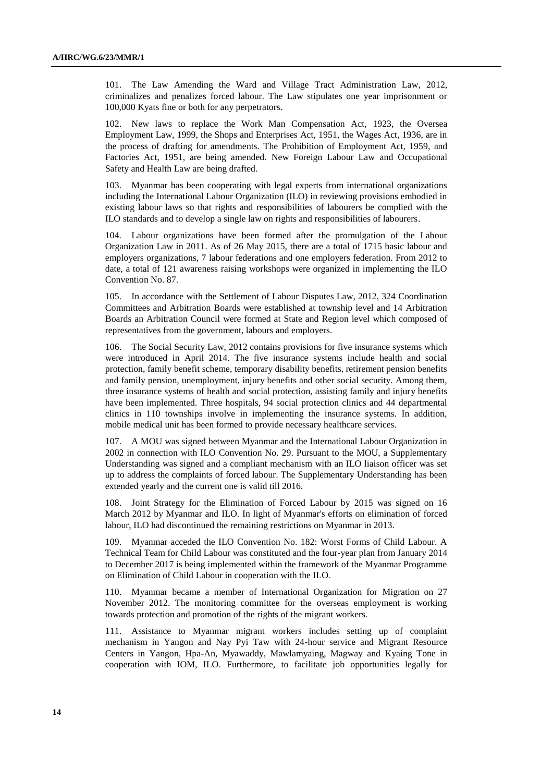101. The Law Amending the Ward and Village Tract Administration Law, 2012, criminalizes and penalizes forced labour. The Law stipulates one year imprisonment or 100,000 Kyats fine or both for any perpetrators.

102. New laws to replace the Work Man Compensation Act, 1923, the Oversea Employment Law, 1999, the Shops and Enterprises Act, 1951, the Wages Act, 1936, are in the process of drafting for amendments. The Prohibition of Employment Act, 1959, and Factories Act, 1951, are being amended. New Foreign Labour Law and Occupational Safety and Health Law are being drafted.

103. Myanmar has been cooperating with legal experts from international organizations including the International Labour Organization (ILO) in reviewing provisions embodied in existing labour laws so that rights and responsibilities of labourers be complied with the ILO standards and to develop a single law on rights and responsibilities of labourers.

104. Labour organizations have been formed after the promulgation of the Labour Organization Law in 2011. As of 26 May 2015, there are a total of 1715 basic labour and employers organizations, 7 labour federations and one employers federation. From 2012 to date, a total of 121 awareness raising workshops were organized in implementing the ILO Convention No. 87.

105. In accordance with the Settlement of Labour Disputes Law, 2012, 324 Coordination Committees and Arbitration Boards were established at township level and 14 Arbitration Boards an Arbitration Council were formed at State and Region level which composed of representatives from the government, labours and employers.

The Social Security Law, 2012 contains provisions for five insurance systems which were introduced in April 2014. The five insurance systems include health and social protection, family benefit scheme, temporary disability benefits, retirement pension benefits and family pension, unemployment, injury benefits and other social security. Among them, three insurance systems of health and social protection, assisting family and injury benefits have been implemented. Three hospitals, 94 social protection clinics and 44 departmental clinics in 110 townships involve in implementing the insurance systems. In addition, mobile medical unit has been formed to provide necessary healthcare services.

107. A MOU was signed between Myanmar and the International Labour Organization in 2002 in connection with ILO Convention No. 29. Pursuant to the MOU, a Supplementary Understanding was signed and a compliant mechanism with an ILO liaison officer was set up to address the complaints of forced labour. The Supplementary Understanding has been extended yearly and the current one is valid till 2016.

108. Joint Strategy for the Elimination of Forced Labour by 2015 was signed on 16 March 2012 by Myanmar and ILO. In light of Myanmar's efforts on elimination of forced labour, ILO had discontinued the remaining restrictions on Myanmar in 2013.

109. Myanmar acceded the ILO Convention No. 182: Worst Forms of Child Labour. A Technical Team for Child Labour was constituted and the four-year plan from January 2014 to December 2017 is being implemented within the framework of the Myanmar Programme on Elimination of Child Labour in cooperation with the ILO.

110. Myanmar became a member of International Organization for Migration on 27 November 2012. The monitoring committee for the overseas employment is working towards protection and promotion of the rights of the migrant workers.

111. Assistance to Myanmar migrant workers includes setting up of complaint mechanism in Yangon and Nay Pyi Taw with 24-hour service and Migrant Resource Centers in Yangon, Hpa-An, Myawaddy, Mawlamyaing, Magway and Kyaing Tone in cooperation with IOM, ILO. Furthermore, to facilitate job opportunities legally for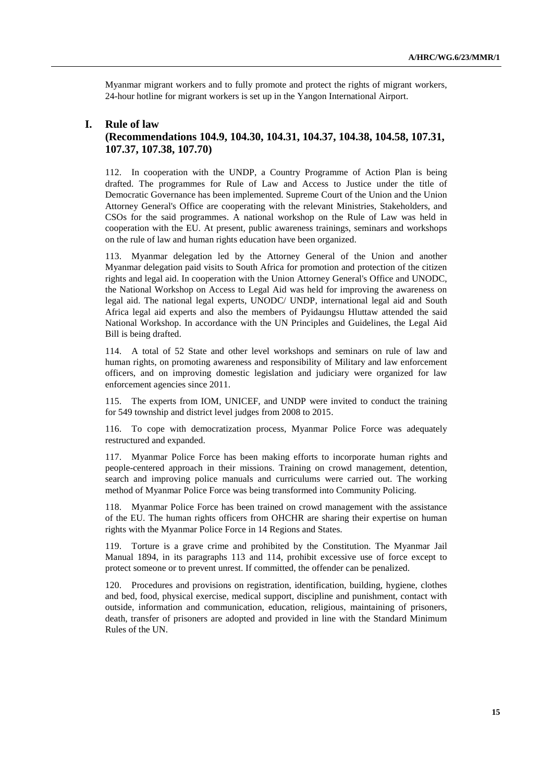Myanmar migrant workers and to fully promote and protect the rights of migrant workers, 24-hour hotline for migrant workers is set up in the Yangon International Airport.

### **I. Rule of law (Recommendations 104.9, 104.30, 104.31, 104.37, 104.38, 104.58, 107.31, 107.37, 107.38, 107.70)**

112. In cooperation with the UNDP, a Country Programme of Action Plan is being drafted. The programmes for Rule of Law and Access to Justice under the title of Democratic Governance has been implemented. Supreme Court of the Union and the Union Attorney General's Office are cooperating with the relevant Ministries, Stakeholders, and CSOs for the said programmes. A national workshop on the Rule of Law was held in cooperation with the EU. At present, public awareness trainings, seminars and workshops on the rule of law and human rights education have been organized.

113. Myanmar delegation led by the Attorney General of the Union and another Myanmar delegation paid visits to South Africa for promotion and protection of the citizen rights and legal aid. In cooperation with the Union Attorney General's Office and UNODC, the National Workshop on Access to Legal Aid was held for improving the awareness on legal aid. The national legal experts, UNODC/ UNDP, international legal aid and South Africa legal aid experts and also the members of Pyidaungsu Hluttaw attended the said National Workshop. In accordance with the UN Principles and Guidelines, the Legal Aid Bill is being drafted.

114. A total of 52 State and other level workshops and seminars on rule of law and human rights, on promoting awareness and responsibility of Military and law enforcement officers, and on improving domestic legislation and judiciary were organized for law enforcement agencies since 2011.

115. The experts from IOM, UNICEF, and UNDP were invited to conduct the training for 549 township and district level judges from 2008 to 2015.

116. To cope with democratization process, Myanmar Police Force was adequately restructured and expanded.

117. Myanmar Police Force has been making efforts to incorporate human rights and people-centered approach in their missions. Training on crowd management, detention, search and improving police manuals and curriculums were carried out. The working method of Myanmar Police Force was being transformed into Community Policing.

118. Myanmar Police Force has been trained on crowd management with the assistance of the EU. The human rights officers from OHCHR are sharing their expertise on human rights with the Myanmar Police Force in 14 Regions and States.

119. Torture is a grave crime and prohibited by the Constitution. The Myanmar Jail Manual 1894, in its paragraphs 113 and 114, prohibit excessive use of force except to protect someone or to prevent unrest. If committed, the offender can be penalized.

120. Procedures and provisions on registration, identification, building, hygiene, clothes and bed, food, physical exercise, medical support, discipline and punishment, contact with outside, information and communication, education, religious, maintaining of prisoners, death, transfer of prisoners are adopted and provided in line with the Standard Minimum Rules of the UN.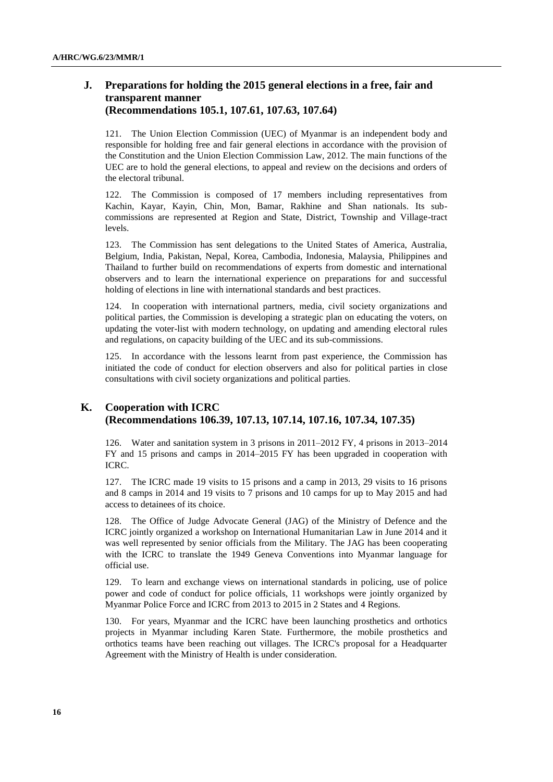# **J. Preparations for holding the 2015 general elections in a free, fair and transparent manner (Recommendations 105.1, 107.61, 107.63, 107.64)**

121. The Union Election Commission (UEC) of Myanmar is an independent body and responsible for holding free and fair general elections in accordance with the provision of the Constitution and the Union Election Commission Law, 2012. The main functions of the UEC are to hold the general elections, to appeal and review on the decisions and orders of the electoral tribunal.

122. The Commission is composed of 17 members including representatives from Kachin, Kayar, Kayin, Chin, Mon, Bamar, Rakhine and Shan nationals. Its subcommissions are represented at Region and State, District, Township and Village-tract levels.

123. The Commission has sent delegations to the United States of America, Australia, Belgium, India, Pakistan, Nepal, Korea, Cambodia, Indonesia, Malaysia, Philippines and Thailand to further build on recommendations of experts from domestic and international observers and to learn the international experience on preparations for and successful holding of elections in line with international standards and best practices.

124. In cooperation with international partners, media, civil society organizations and political parties, the Commission is developing a strategic plan on educating the voters, on updating the voter-list with modern technology, on updating and amending electoral rules and regulations, on capacity building of the UEC and its sub-commissions.

125. In accordance with the lessons learnt from past experience, the Commission has initiated the code of conduct for election observers and also for political parties in close consultations with civil society organizations and political parties.

### **K. Cooperation with ICRC (Recommendations 106.39, 107.13, 107.14, 107.16, 107.34, 107.35)**

126. Water and sanitation system in 3 prisons in 2011–2012 FY, 4 prisons in 2013–2014 FY and 15 prisons and camps in 2014–2015 FY has been upgraded in cooperation with ICRC.

127. The ICRC made 19 visits to 15 prisons and a camp in 2013, 29 visits to 16 prisons and 8 camps in 2014 and 19 visits to 7 prisons and 10 camps for up to May 2015 and had access to detainees of its choice.

128. The Office of Judge Advocate General (JAG) of the Ministry of Defence and the ICRC jointly organized a workshop on International Humanitarian Law in June 2014 and it was well represented by senior officials from the Military. The JAG has been cooperating with the ICRC to translate the 1949 Geneva Conventions into Myanmar language for official use.

129. To learn and exchange views on international standards in policing, use of police power and code of conduct for police officials, 11 workshops were jointly organized by Myanmar Police Force and ICRC from 2013 to 2015 in 2 States and 4 Regions.

130. For years, Myanmar and the ICRC have been launching prosthetics and orthotics projects in Myanmar including Karen State. Furthermore, the mobile prosthetics and orthotics teams have been reaching out villages. The ICRC's proposal for a Headquarter Agreement with the Ministry of Health is under consideration.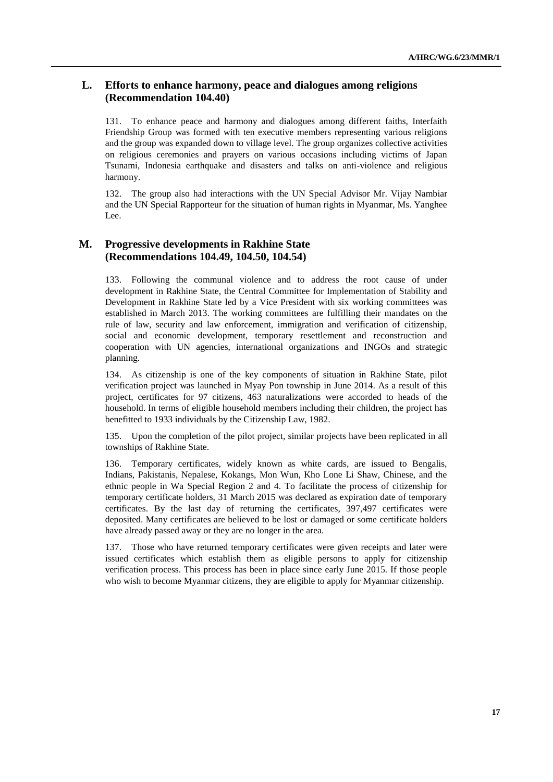# **L. Efforts to enhance harmony, peace and dialogues among religions (Recommendation 104.40)**

131. To enhance peace and harmony and dialogues among different faiths, Interfaith Friendship Group was formed with ten executive members representing various religions and the group was expanded down to village level. The group organizes collective activities on religious ceremonies and prayers on various occasions including victims of Japan Tsunami, Indonesia earthquake and disasters and talks on anti-violence and religious harmony.

132. The group also had interactions with the UN Special Advisor Mr. Vijay Nambiar and the UN Special Rapporteur for the situation of human rights in Myanmar, Ms. Yanghee Lee.

### **M. Progressive developments in Rakhine State (Recommendations 104.49, 104.50, 104.54)**

133. Following the communal violence and to address the root cause of under development in Rakhine State, the Central Committee for Implementation of Stability and Development in Rakhine State led by a Vice President with six working committees was established in March 2013. The working committees are fulfilling their mandates on the rule of law, security and law enforcement, immigration and verification of citizenship, social and economic development, temporary resettlement and reconstruction and cooperation with UN agencies, international organizations and INGOs and strategic planning.

134. As citizenship is one of the key components of situation in Rakhine State, pilot verification project was launched in Myay Pon township in June 2014. As a result of this project, certificates for 97 citizens, 463 naturalizations were accorded to heads of the household. In terms of eligible household members including their children, the project has benefitted to 1933 individuals by the Citizenship Law, 1982.

135. Upon the completion of the pilot project, similar projects have been replicated in all townships of Rakhine State.

136. Temporary certificates, widely known as white cards, are issued to Bengalis, Indians, Pakistanis, Nepalese, Kokangs, Mon Wun, Kho Lone Li Shaw, Chinese, and the ethnic people in Wa Special Region 2 and 4. To facilitate the process of citizenship for temporary certificate holders, 31 March 2015 was declared as expiration date of temporary certificates. By the last day of returning the certificates, 397,497 certificates were deposited. Many certificates are believed to be lost or damaged or some certificate holders have already passed away or they are no longer in the area.

137. Those who have returned temporary certificates were given receipts and later were issued certificates which establish them as eligible persons to apply for citizenship verification process. This process has been in place since early June 2015. If those people who wish to become Myanmar citizens, they are eligible to apply for Myanmar citizenship.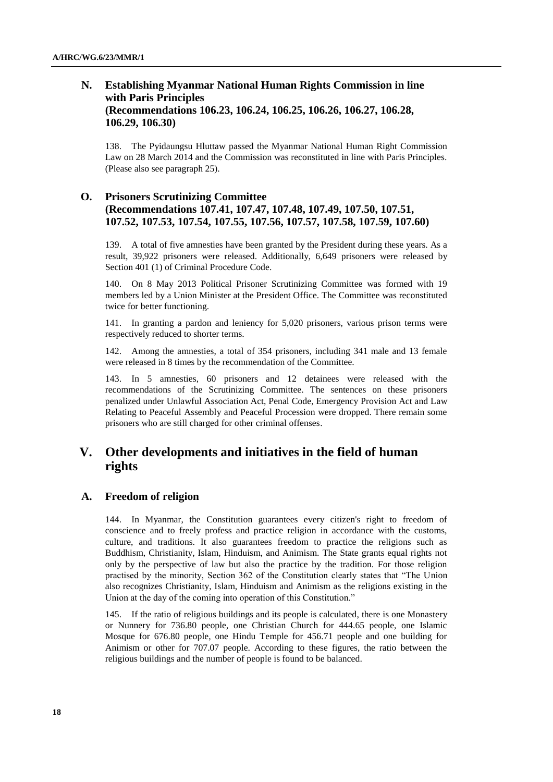# **N. Establishing Myanmar National Human Rights Commission in line with Paris Principles (Recommendations 106.23, 106.24, 106.25, 106.26, 106.27, 106.28, 106.29, 106.30)**

138. The Pyidaungsu Hluttaw passed the Myanmar National Human Right Commission Law on 28 March 2014 and the Commission was reconstituted in line with Paris Principles. (Please also see paragraph 25).

## **O. Prisoners Scrutinizing Committee (Recommendations 107.41, 107.47, 107.48, 107.49, 107.50, 107.51, 107.52, 107.53, 107.54, 107.55, 107.56, 107.57, 107.58, 107.59, 107.60)**

139. A total of five amnesties have been granted by the President during these years. As a result, 39,922 prisoners were released. Additionally, 6,649 prisoners were released by Section 401 (1) of Criminal Procedure Code.

140. On 8 May 2013 Political Prisoner Scrutinizing Committee was formed with 19 members led by a Union Minister at the President Office. The Committee was reconstituted twice for better functioning.

141. In granting a pardon and leniency for 5,020 prisoners, various prison terms were respectively reduced to shorter terms.

142. Among the amnesties, a total of 354 prisoners, including 341 male and 13 female were released in 8 times by the recommendation of the Committee.

143. In 5 amnesties, 60 prisoners and 12 detainees were released with the recommendations of the Scrutinizing Committee. The sentences on these prisoners penalized under Unlawful Association Act, Penal Code, Emergency Provision Act and Law Relating to Peaceful Assembly and Peaceful Procession were dropped. There remain some prisoners who are still charged for other criminal offenses.

# **V. Other developments and initiatives in the field of human rights**

### **A. Freedom of religion**

144. In Myanmar, the Constitution guarantees every citizen's right to freedom of conscience and to freely profess and practice religion in accordance with the customs, culture, and traditions. It also guarantees freedom to practice the religions such as Buddhism, Christianity, Islam, Hinduism, and Animism. The State grants equal rights not only by the perspective of law but also the practice by the tradition. For those religion practised by the minority, Section 362 of the Constitution clearly states that "The Union also recognizes Christianity, Islam, Hinduism and Animism as the religions existing in the Union at the day of the coming into operation of this Constitution."

145. If the ratio of religious buildings and its people is calculated, there is one Monastery or Nunnery for 736.80 people, one Christian Church for 444.65 people, one Islamic Mosque for 676.80 people, one Hindu Temple for 456.71 people and one building for Animism or other for 707.07 people. According to these figures, the ratio between the religious buildings and the number of people is found to be balanced.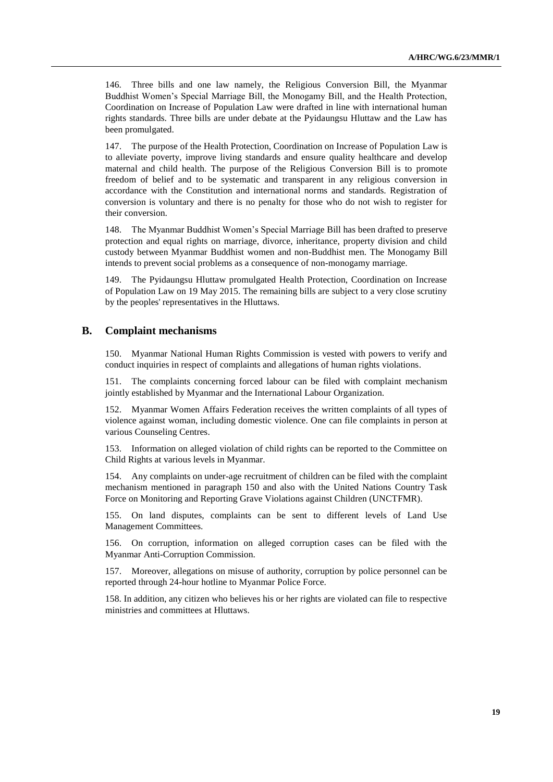146. Three bills and one law namely, the Religious Conversion Bill, the Myanmar Buddhist Women's Special Marriage Bill, the Monogamy Bill, and the Health Protection, Coordination on Increase of Population Law were drafted in line with international human rights standards. Three bills are under debate at the Pyidaungsu Hluttaw and the Law has been promulgated.

147. The purpose of the Health Protection, Coordination on Increase of Population Law is to alleviate poverty, improve living standards and ensure quality healthcare and develop maternal and child health. The purpose of the Religious Conversion Bill is to promote freedom of belief and to be systematic and transparent in any religious conversion in accordance with the Constitution and international norms and standards. Registration of conversion is voluntary and there is no penalty for those who do not wish to register for their conversion.

148. The Myanmar Buddhist Women's Special Marriage Bill has been drafted to preserve protection and equal rights on marriage, divorce, inheritance, property division and child custody between Myanmar Buddhist women and non-Buddhist men. The Monogamy Bill intends to prevent social problems as a consequence of non-monogamy marriage.

149. The Pyidaungsu Hluttaw promulgated Health Protection, Coordination on Increase of Population Law on 19 May 2015. The remaining bills are subject to a very close scrutiny by the peoples' representatives in the Hluttaws.

### **B. Complaint mechanisms**

150. Myanmar National Human Rights Commission is vested with powers to verify and conduct inquiries in respect of complaints and allegations of human rights violations.

151. The complaints concerning forced labour can be filed with complaint mechanism jointly established by Myanmar and the International Labour Organization.

152. Myanmar Women Affairs Federation receives the written complaints of all types of violence against woman, including domestic violence. One can file complaints in person at various Counseling Centres.

153. Information on alleged violation of child rights can be reported to the Committee on Child Rights at various levels in Myanmar.

154. Any complaints on under-age recruitment of children can be filed with the complaint mechanism mentioned in paragraph 150 and also with the United Nations Country Task Force on Monitoring and Reporting Grave Violations against Children (UNCTFMR).

155. On land disputes, complaints can be sent to different levels of Land Use Management Committees.

156. On corruption, information on alleged corruption cases can be filed with the Myanmar Anti-Corruption Commission.

157. Moreover, allegations on misuse of authority, corruption by police personnel can be reported through 24-hour hotline to Myanmar Police Force.

158. In addition, any citizen who believes his or her rights are violated can file to respective ministries and committees at Hluttaws.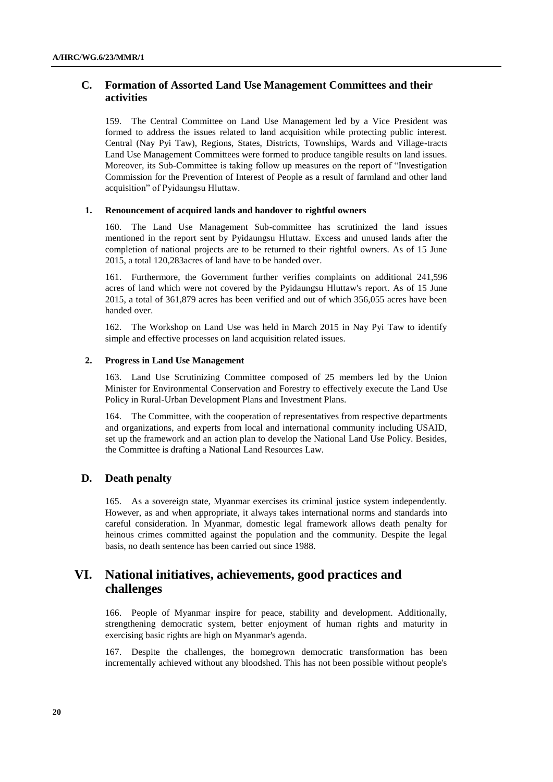# **C. Formation of Assorted Land Use Management Committees and their activities**

159. The Central Committee on Land Use Management led by a Vice President was formed to address the issues related to land acquisition while protecting public interest. Central (Nay Pyi Taw), Regions, States, Districts, Townships, Wards and Village-tracts Land Use Management Committees were formed to produce tangible results on land issues. Moreover, its Sub-Committee is taking follow up measures on the report of "Investigation Commission for the Prevention of Interest of People as a result of farmland and other land acquisition" of Pyidaungsu Hluttaw.

#### **1. Renouncement of acquired lands and handover to rightful owners**

160. The Land Use Management Sub-committee has scrutinized the land issues mentioned in the report sent by Pyidaungsu Hluttaw. Excess and unused lands after the completion of national projects are to be returned to their rightful owners. As of 15 June 2015, a total 120,283acres of land have to be handed over.

161. Furthermore, the Government further verifies complaints on additional 241,596 acres of land which were not covered by the Pyidaungsu Hluttaw's report. As of 15 June 2015, a total of 361,879 acres has been verified and out of which 356,055 acres have been handed over.

162. The Workshop on Land Use was held in March 2015 in Nay Pyi Taw to identify simple and effective processes on land acquisition related issues.

#### **2. Progress in Land Use Management**

163. Land Use Scrutinizing Committee composed of 25 members led by the Union Minister for Environmental Conservation and Forestry to effectively execute the Land Use Policy in Rural-Urban Development Plans and Investment Plans.

164. The Committee, with the cooperation of representatives from respective departments and organizations, and experts from local and international community including USAID, set up the framework and an action plan to develop the National Land Use Policy. Besides, the Committee is drafting a National Land Resources Law.

### **D. Death penalty**

165. As a sovereign state, Myanmar exercises its criminal justice system independently. However, as and when appropriate, it always takes international norms and standards into careful consideration. In Myanmar, domestic legal framework allows death penalty for heinous crimes committed against the population and the community. Despite the legal basis, no death sentence has been carried out since 1988.

# **VI. National initiatives, achievements, good practices and challenges**

166. People of Myanmar inspire for peace, stability and development. Additionally, strengthening democratic system, better enjoyment of human rights and maturity in exercising basic rights are high on Myanmar's agenda.

167. Despite the challenges, the homegrown democratic transformation has been incrementally achieved without any bloodshed. This has not been possible without people's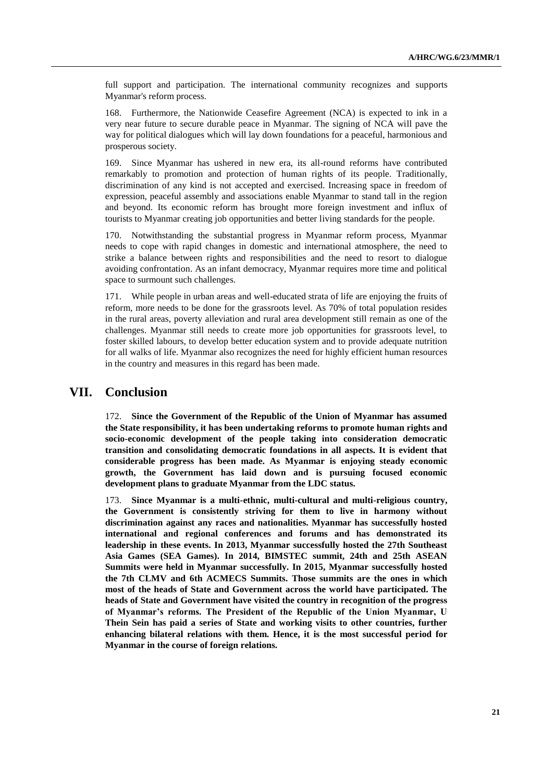full support and participation. The international community recognizes and supports Myanmar's reform process.

168. Furthermore, the Nationwide Ceasefire Agreement (NCA) is expected to ink in a very near future to secure durable peace in Myanmar. The signing of NCA will pave the way for political dialogues which will lay down foundations for a peaceful, harmonious and prosperous society.

169. Since Myanmar has ushered in new era, its all-round reforms have contributed remarkably to promotion and protection of human rights of its people. Traditionally, discrimination of any kind is not accepted and exercised. Increasing space in freedom of expression, peaceful assembly and associations enable Myanmar to stand tall in the region and beyond. Its economic reform has brought more foreign investment and influx of tourists to Myanmar creating job opportunities and better living standards for the people.

170. Notwithstanding the substantial progress in Myanmar reform process, Myanmar needs to cope with rapid changes in domestic and international atmosphere, the need to strike a balance between rights and responsibilities and the need to resort to dialogue avoiding confrontation. As an infant democracy, Myanmar requires more time and political space to surmount such challenges.

171. While people in urban areas and well-educated strata of life are enjoying the fruits of reform, more needs to be done for the grassroots level. As 70% of total population resides in the rural areas, poverty alleviation and rural area development still remain as one of the challenges. Myanmar still needs to create more job opportunities for grassroots level, to foster skilled labours, to develop better education system and to provide adequate nutrition for all walks of life. Myanmar also recognizes the need for highly efficient human resources in the country and measures in this regard has been made.

# **VII. Conclusion**

172. **Since the Government of the Republic of the Union of Myanmar has assumed the State responsibility, it has been undertaking reforms to promote human rights and socio-economic development of the people taking into consideration democratic transition and consolidating democratic foundations in all aspects. It is evident that considerable progress has been made. As Myanmar is enjoying steady economic growth, the Government has laid down and is pursuing focused economic development plans to graduate Myanmar from the LDC status.**

173. **Since Myanmar is a multi-ethnic, multi-cultural and multi-religious country, the Government is consistently striving for them to live in harmony without discrimination against any races and nationalities. Myanmar has successfully hosted international and regional conferences and forums and has demonstrated its leadership in these events. In 2013, Myanmar successfully hosted the 27th Southeast Asia Games (SEA Games). In 2014, BIMSTEC summit, 24th and 25th ASEAN Summits were held in Myanmar successfully. In 2015, Myanmar successfully hosted the 7th CLMV and 6th ACMECS Summits. Those summits are the ones in which most of the heads of State and Government across the world have participated. The heads of State and Government have visited the country in recognition of the progress of Myanmar's reforms. The President of the Republic of the Union Myanmar, U Thein Sein has paid a series of State and working visits to other countries, further enhancing bilateral relations with them. Hence, it is the most successful period for Myanmar in the course of foreign relations.**